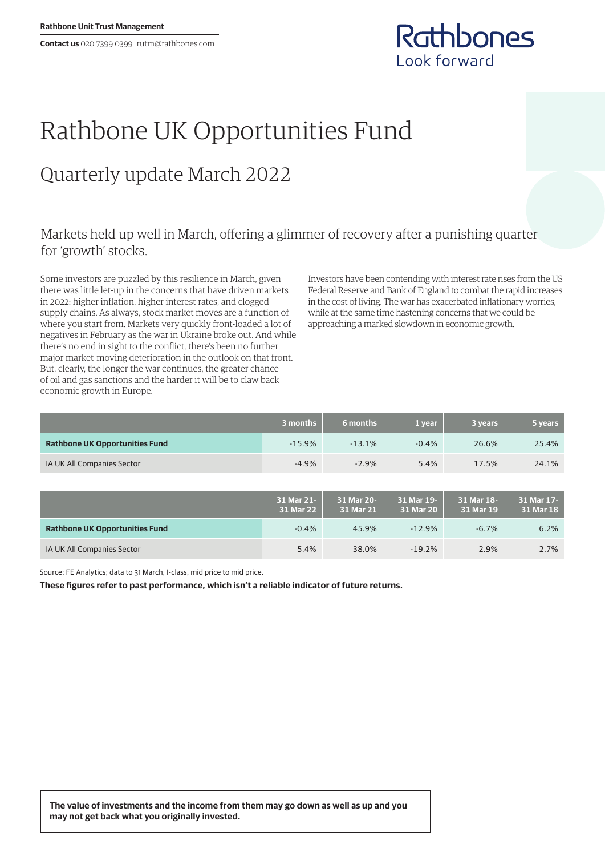

## Rathbone UK Opportunities Fund

## Quarterly update March 2022

## Markets held up well in March, offering a glimmer of recovery after a punishing quarter for 'growth' stocks.

Some investors are puzzled by this resilience in March, given there was little let-up in the concerns that have driven markets in 2022: higher inflation, higher interest rates, and clogged supply chains. As always, stock market moves are a function of where you start from. Markets very quickly front-loaded a lot of negatives in February as the war in Ukraine broke out. And while there's no end in sight to the conflict, there's been no further major market-moving deterioration in the outlook on that front. But, clearly, the longer the war continues, the greater chance of oil and gas sanctions and the harder it will be to claw back economic growth in Europe.

Investors have been contending with interest rate rises from the US Federal Reserve and Bank of England to combat the rapid increases in the cost of living. The war has exacerbated inflationary worries, while at the same time hastening concerns that we could be approaching a marked slowdown in economic growth.

|                                       | 3 months | 6 months | 1 vear  | 3 vears l | 5 years |
|---------------------------------------|----------|----------|---------|-----------|---------|
| <b>Rathbone UK Opportunities Fund</b> | $-15.9%$ | $-13.1%$ | $-0.4%$ | 26.6%     | 25.4%   |
| IA UK All Companies Sector            | $-4.9%$  | $-2.9%$  | 5.4%    | 17.5%     | 24.1%   |

|                                       | 31 Mar 21-<br>31 Mar 22 | 31 Mar 20-<br>31 Mar 21 | 31 Mar 19-<br>31 Mar 20 | 31 Mar 18-<br>31 Mar 19 | 31 Mar 17-<br>31 Mar 18 |
|---------------------------------------|-------------------------|-------------------------|-------------------------|-------------------------|-------------------------|
| <b>Rathbone UK Opportunities Fund</b> | $-0.4%$                 | 45.9%                   | $-12.9%$                | $-6.7\%$                | 6.2%                    |
| IA UK All Companies Sector            | 5.4%                    | 38.0%                   | $-19.2%$                | 2.9%                    | 2.7%                    |

Source: FE Analytics; data to 31 March, I-class, mid price to mid price.

**These figures refer to past performance, which isn't a reliable indicator of future returns.**

**The value of investments and the income from them may go down as well as up and you may not get back what you originally invested.**